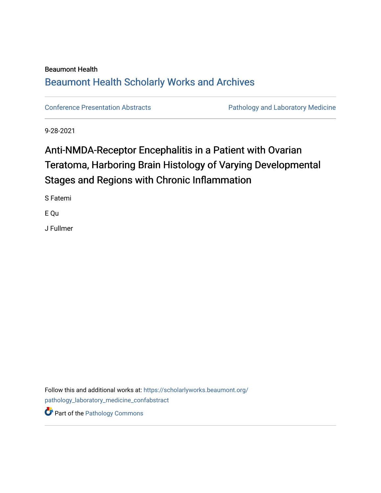# Beaumont Health [Beaumont Health Scholarly Works and Archives](https://scholarlyworks.beaumont.org/)

[Conference Presentation Abstracts](https://scholarlyworks.beaumont.org/pathology_laboratory_medicine_confabstract) **Pathology and Laboratory Medicine** 

9-28-2021

# Anti-NMDA-Receptor Encephalitis in a Patient with Ovarian Teratoma, Harboring Brain Histology of Varying Developmental Stages and Regions with Chronic Inflammation

S Fatemi

E Qu

J Fullmer

Follow this and additional works at: [https://scholarlyworks.beaumont.org/](https://scholarlyworks.beaumont.org/pathology_laboratory_medicine_confabstract?utm_source=scholarlyworks.beaumont.org%2Fpathology_laboratory_medicine_confabstract%2F8&utm_medium=PDF&utm_campaign=PDFCoverPages) [pathology\\_laboratory\\_medicine\\_confabstract](https://scholarlyworks.beaumont.org/pathology_laboratory_medicine_confabstract?utm_source=scholarlyworks.beaumont.org%2Fpathology_laboratory_medicine_confabstract%2F8&utm_medium=PDF&utm_campaign=PDFCoverPages)  Part of the [Pathology Commons](http://network.bepress.com/hgg/discipline/699?utm_source=scholarlyworks.beaumont.org%2Fpathology_laboratory_medicine_confabstract%2F8&utm_medium=PDF&utm_campaign=PDFCoverPages)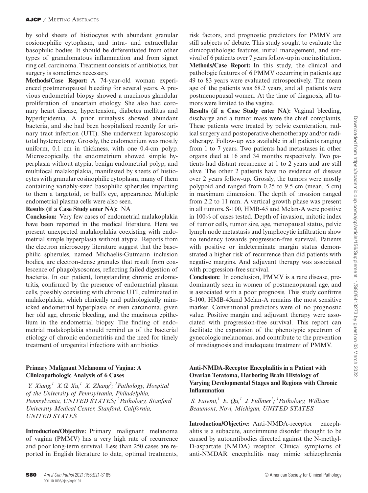by solid sheets of histiocytes with abundant granular eosionophilic cytoplasm, and intra- and extracellular basophilic bodies. It should be differentiated from other types of granulomatous inflammation and from signet ring cell carcinoma. Treatment consists of antibiotics, but surgery is sometimes necessary.

**Methods/Case Report:** A 74-year-old woman experienced postmenopausal bleeding for several years. A previous endometrial biopsy showed a mucinous glandular proliferation of uncertain etiology. She also had coronary heart disease, hypertension, diabetes mellitus and hyperlipidemia. A prior urinalysis showed abundant bacteria, and she had been hospitalized recently for urinary tract infection (UTI). She underwent laparoscopic total hysterectomy. Grossly, the endometrium was mostly uniform, 0.1 cm in thickness, with one 0.4-cm polyp. Microscopically, the endometrium showed simple hyperplasia without atypia, benign endometrial polyp, and multifocal malakoplakia, manifested by sheets of histiocytes with granular eosinophilic cytoplasm, many of them containing variably-sized basophilic spherules imparting to them a targetoid, or bull's eye, appearance. Multiple endometrial plasma cells were also seen.

### **Results (if a Case Study enter NA):** NA

**Conclusion:** Very few cases of endometrial malakoplakia have been reported in the medical literature. Here we present unexpected malakoplakia coexisting with endometrial simple hyperplasia without atypia. Reports from the electron microscopy literature suggest that the basophilic spherules, named Michaelis-Gutmann inclusion bodies, are electron-dense granules that result from coalescence of phagolysosomes, reflecting failed digestion of bacteria. In our patient, longstanding chronic endometritis, confirmed by the presence of endometrial plasma cells, possibly coexisting with chronic UTI, culminated in malakoplakia, which clinically and pathologically mimicked endometrial hyperplasia or even carcinoma, given her old age, chronic bleeding, and the mucinous epithelium in the endometrial biopsy. The finding of endometrial malakoplakia should remind us of the bacterial etiology of chronic endometritis and the need for timely treatment of urogenital infections with antibiotics.

## **Primary Malignant Melanoma of Vagina: A Clinicopathologic Analysis of 6 Cases**

 *Y. Xiang, 1 X.G. Xu, 1 X. Zhang2 ; 1 Pathology, Hospital of the University of Pennsylvania, Philadelphia, Pennsylvania, UNITED STATES; 2 Pathology, Stanford University Medical Center, Stanford, California, UNITED STATES*

**Introduction/Objective:** Primary malignant melanoma of vagina (PMMV) has a very high rate of recurrence and poor long-term survival. Less than 250 cases are reported in English literature to date, optimal treatments,

risk factors, and prognostic predictors for PMMV are still subjects of debate. This study sought to evaluate the clinicopathologic features, initial management, and survival of 6 patients over 7 years follow-up in one institution. **Methods/Case Report:** In this study, the clinical and pathologic features of 6 PMMV occurring in patients age 49 to 83 years were evaluated retrospectively. The mean age of the patients was 68.2 years, and all patients were postmenopausal women. At the time of diagnosis, all tumors were limited to the vagina.

**Results (if a Case Study enter NA):** Vaginal bleeding, discharge and a tumor mass were the chief complaints. These patients were treated by pelvic exenteration, radical surgery and postoperative chemotherapy and/or radiotherapy. Follow-up was available in all patients ranging from 1 to 7 years. Two patients had metastases in other organs died at 16 and 34 months respectively. Two patients had distant recurrence at 1 to 2 years and are still alive. The other 2 patients have no evidence of disease over 2 years follow-up. Grossly, the tumors were mostly polypoid and ranged from 0.25 to 9.5 cm (mean, 5 cm) in maximum dimension. The depth of invasion ranged from 2.2 to 11 mm. A vertical growth phase was present in all tumors. S-100, HMB-45 and Melan-A were positive in 100% of cases tested. Depth of invasion, mitotic index of tumor cells, tumor size, age, menopausal status, pelvic lymph node metastasis and lymphocytic infiltration show no tendency towards progression-free survival. Patients with positive or indeterminate margin status demonstrated a higher risk of recurrence than did patients with negative margins. And adjuvant therapy was associated with progression-free survival.

**Conclusion:** In conclusion, PMMV is a rare disease, predominantly seen in women of postmenopausal age, and is associated with a poor prognosis. This study confirms S-100, HMB-45and Melan-A remains the most sensitive marker. Conventional predictors were of no prognostic value. Positive margin and adjuvant therapy were associated with progression-free survival. This report can facilitate the expansion of the phenotypic spectrum of gynecologic melanomas, and contribute to the prevention of misdiagnosis and inadequate treatment of PMMV.

#### **Anti-NMDA-Receptor Encephalitis in a Patient with Ovarian Teratoma, Harboring Brain Histology of Varying Developmental Stages and Regions with Chronic Inflammation**

*S. Fatemi,<sup>1</sup> E. Qu,<sup>1</sup> J. Fullmer<sup>1</sup>; <sup>1</sup> Pathology, William Beaumont, Novi, Michigan, UNITED STATES*

**Introduction/Objective:** Anti-NMDA-receptor encephalitis is a subacute, autoimmune disorder thought to be caused by autoantibodies directed against the N-methyl-D-aspartate (NMDA) receptor. Clinical symptoms of anti-NMDAR encephalitis may mimic schizophrenia